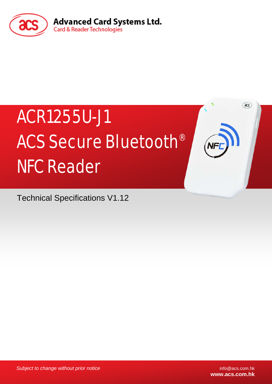

# ACR1255U-J1 ACS Secure Bluetooth® NFC Reader

Technical Specifications V1.12

*Subject to change without prior notice* info@acs.com.hk

**www.acs.com.hk**

 $(ax)$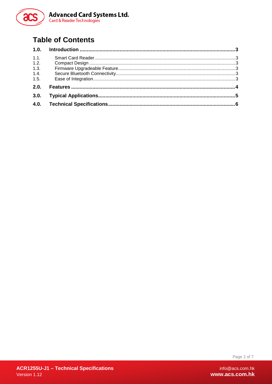

# **Table of Contents**

| 1.1. |  |
|------|--|
| 1.2. |  |
| 1.3. |  |
| 1.4. |  |
| 1.5. |  |
| 2.0. |  |
| 3.0. |  |
| 4.0. |  |
|      |  |

Page 2 of 7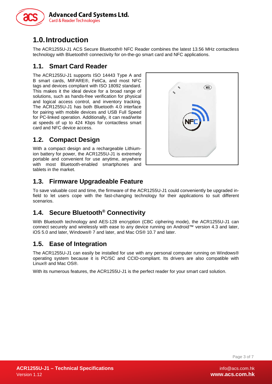

# <span id="page-2-0"></span>**1.0.Introduction**

The ACR1255U-J1 ACS Secure Bluetooth® NFC Reader combines the latest 13.56 MHz contactless technology with Bluetooth® connectivity for on-the-go smart card and NFC applications.

#### <span id="page-2-1"></span>**1.1. Smart Card Reader**

The ACR1255U-J1 supports ISO 14443 Type A and B smart cards, MIFARE®, FeliCa, and most NFC tags and devices compliant with ISO 18092 standard. This makes it the ideal device for a broad range of solutions, such as hands-free verification for physical and logical access control, and inventory tracking. The ACR1255U-J1 has both Bluetooth 4.0 interface for pairing with mobile devices and USB Full Speed for PC-linked operation. Additionally, it can read/write at speeds of up to 424 Kbps for contactless smart card and NFC device access.

#### <span id="page-2-2"></span>**1.2. Compact Design**

With a compact design and a rechargeable Lithiumion battery for power, the ACR1255U-J1 is extremely portable and convenient for use anytime, anywhere with most Bluetooth-enabled smartphones and tablets in the market.



#### <span id="page-2-3"></span>**1.3. Firmware Upgradeable Feature**

To save valuable cost and time, the firmware of the ACR1255U-J1 could conveniently be upgraded infield to let users cope with the fast-changing technology for their applications to suit different scenarios.

### <span id="page-2-4"></span>**1.4. Secure Bluetooth® Connectivity**

With Bluetooth technology and AES-128 encryption (CBC ciphering mode), the ACR1255U-J1 can connect securely and wirelessly with ease to any device running on Android™ version 4.3 and later, iOS 5.0 and later, Windows® 7 and later, and Mac OS® 10.7 and later.

#### <span id="page-2-5"></span>**1.5. Ease of Integration**

The ACR1255U-J1 can easily be installed for use with any personal computer running on Windows® operating system because it is PC/SC and CCID-compliant. Its drivers are also compatible with Linux® and Mac OS®.

With its numerous features, the ACR1255U-J1 is the perfect reader for your smart card solution.

Page 3 of 7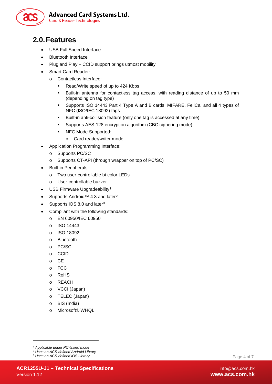

## <span id="page-3-0"></span>**2.0.Features**

- USB Full Speed Interface
- Bluetooth Interface
- Plug and Play CCID support brings utmost mobility
- Smart Card Reader:
	- o Contactless Interface:
		- Read/Write speed of up to 424 Kbps
		- Built-in antenna for contactless tag access, with reading distance of up to 50 mm (depending on tag type)
		- Supports ISO 14443 Part 4 Type A and B cards, MIFARE, FeliCa, and all 4 types of NFC (ISO/IEC 18092) tags
		- Built-in anti-collision feature (only one tag is accessed at any time)
		- Supports AES-128 encryption algorithm (CBC ciphering mode)
		- **NFC Mode Supported:** 
			- Card reader/writer mode
- Application Programming Interface:
	- o Supports PC/SC
	- o Supports CT-API (through wrapper on top of PC/SC)
- Built-in Peripherals:
	- o Two user-controllable bi-color LEDs
	- o User-controllable buzzer
- USB Firmware Upgradeability<sup>[1](#page-3-1)</sup>
- Supports Android<sup>™</sup> 4.3 and later<sup>[2](#page-3-2)</sup>
- Supports iOS 8.0 and later<sup>[3](#page-3-3)</sup>
- Compliant with the following standards:
	- o EN 60950/IEC 60950
	- o ISO 14443
	- o ISO 18092
	- o Bluetooth
	- o PC/SC
	- o CCID
	- o CE
	- o FCC
	- o RoHS
	- o REACH
	- o VCCI (Japan)
	- o TELEC (Japan)
	- o BIS (India)
	- o Microsoft® WHQL

-

Page 4 of 7

*<sup>1</sup> Applicable under PC-linked mode*

<span id="page-3-2"></span><span id="page-3-1"></span>*<sup>2</sup> Uses an ACS-defined Android Library*

<span id="page-3-3"></span>*<sup>3</sup> Uses an ACS-defined iOS Library*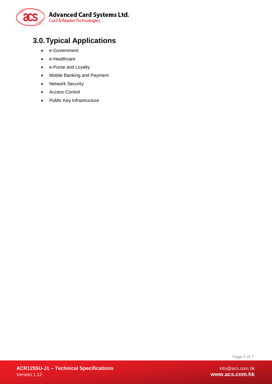

# <span id="page-4-0"></span>**3.0.Typical Applications**

- e-Government
- e-Healthcare
- e-Purse and Loyalty
- Mobile Banking and Payment
- Network Security
- Access Control
- Public Key Infrastructure

Page 5 of 7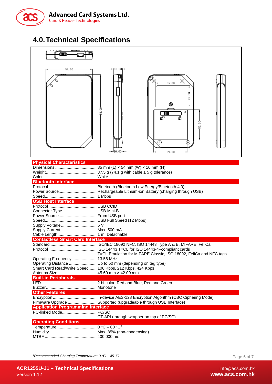

# <span id="page-5-0"></span>**4.0.Technical Specifications**



| Smart Card Read/Write Speed 106 Kbps, 212 Kbps, 424 Kbps |                                                                 |  |  |  |
|----------------------------------------------------------|-----------------------------------------------------------------|--|--|--|
|                                                          |                                                                 |  |  |  |
| <b>Built-in Peripherals</b>                              |                                                                 |  |  |  |
|                                                          |                                                                 |  |  |  |
|                                                          |                                                                 |  |  |  |
| <b>Other Features</b>                                    |                                                                 |  |  |  |
|                                                          |                                                                 |  |  |  |
|                                                          | Firmware Upgrade  Supported (upgradeable through USB Interface) |  |  |  |
| <b>Application Programming Interface</b>                 |                                                                 |  |  |  |
| PC-linked Mode PC/SC                                     |                                                                 |  |  |  |
|                                                          |                                                                 |  |  |  |
| <b>Operating Conditions</b>                              |                                                                 |  |  |  |
|                                                          |                                                                 |  |  |  |
|                                                          |                                                                 |  |  |  |

| $C = 00$ C |  |
|------------|--|
|            |  |
|            |  |

<span id="page-5-1"></span>*4 Recommended Charging Temperature: 0* °*C – 45* °*C*

-